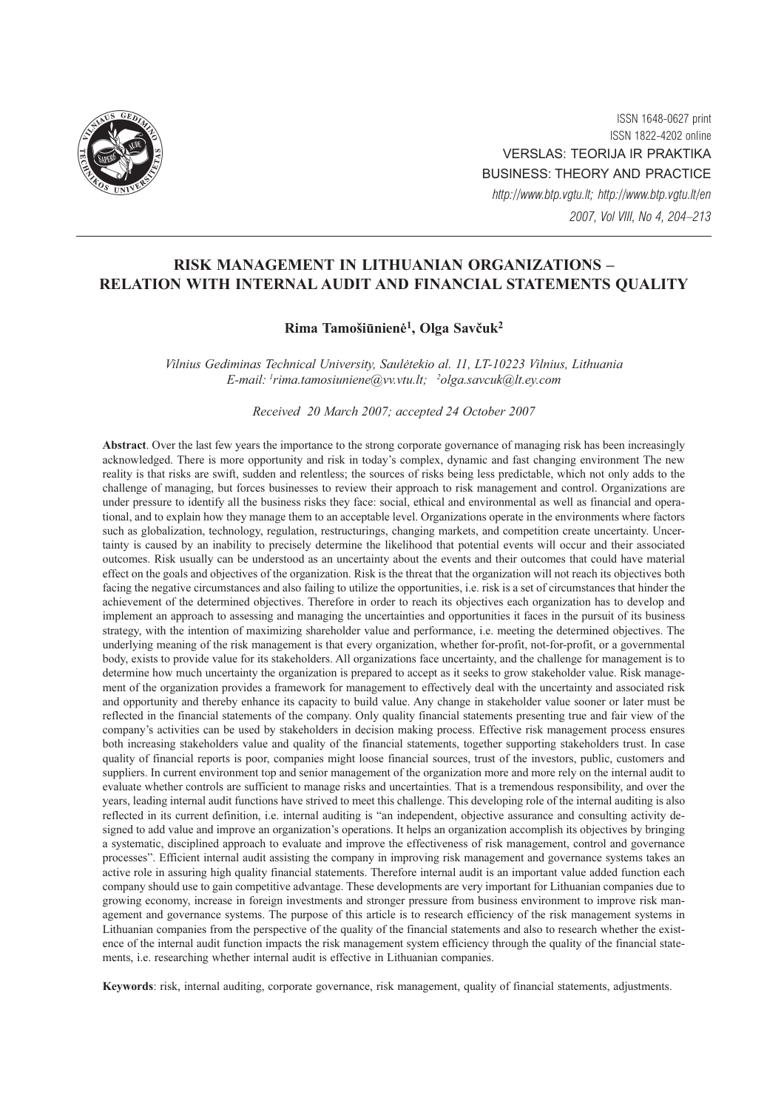

ISSN 1648-0627 print ISSN 1822-4202 online VERSLAS: TEORIJA IR PRAKTIKA BUSINESS: THEORY AND PRACTICE http://www.btp.vgtu.lt; http://www.btp.vgtu.lt/en 2007, Vol VIII, No 4, 204–213

# RISK MANAGEMENT IN LITHUANIAN ORGANIZATIONS – RELATION WITH INTERNAL AUDIT AND FINANCIAL STATEMENTS QUALITY

## Rima Tamošiūnienė<sup>1</sup>, Olga Savčuk<sup>2</sup>

Vilnius Gediminas Technical University, Saulëtekio al. 11, LT-10223 Vilnius, Lithuania E-mail: <sup>1</sup>rima.tamosiuniene@vv.vtu.lt; <sup>2</sup>olga.savcuk@lt.ey.com

Received 20 March 2007; accepted 24 October 2007

Abstract. Over the last few years the importance to the strong corporate governance of managing risk has been increasingly acknowledged. There is more opportunity and risk in today's complex, dynamic and fast changing environment The new reality is that risks are swift, sudden and relentless; the sources of risks being less predictable, which not only adds to the challenge of managing, but forces businesses to review their approach to risk management and control. Organizations are under pressure to identify all the business risks they face: social, ethical and environmental as well as financial and operational, and to explain how they manage them to an acceptable level. Organizations operate in the environments where factors such as globalization, technology, regulation, restructurings, changing markets, and competition create uncertainty. Uncertainty is caused by an inability to precisely determine the likelihood that potential events will occur and their associated outcomes. Risk usually can be understood as an uncertainty about the events and their outcomes that could have material effect on the goals and objectives of the organization. Risk is the threat that the organization will not reach its objectives both facing the negative circumstances and also failing to utilize the opportunities, i.e. risk is a set of circumstances that hinder the achievement of the determined objectives. Therefore in order to reach its objectives each organization has to develop and implement an approach to assessing and managing the uncertainties and opportunities it faces in the pursuit of its business strategy, with the intention of maximizing shareholder value and performance, i.e. meeting the determined objectives. The underlying meaning of the risk management is that every organization, whether for-profit, not-for-profit, or a governmental body, exists to provide value for its stakeholders. All organizations face uncertainty, and the challenge for management is to determine how much uncertainty the organization is prepared to accept as it seeks to grow stakeholder value. Risk management of the organization provides a framework for management to effectively deal with the uncertainty and associated risk and opportunity and thereby enhance its capacity to build value. Any change in stakeholder value sooner or later must be reflected in the financial statements of the company. Only quality financial statements presenting true and fair view of the company's activities can be used by stakeholders in decision making process. Effective risk management process ensures both increasing stakeholders value and quality of the financial statements, together supporting stakeholders trust. In case quality of financial reports is poor, companies might loose financial sources, trust of the investors, public, customers and suppliers. In current environment top and senior management of the organization more and more rely on the internal audit to evaluate whether controls are sufficient to manage risks and uncertainties. That is a tremendous responsibility, and over the years, leading internal audit functions have strived to meet this challenge. This developing role of the internal auditing is also reflected in its current definition, i.e. internal auditing is "an independent, objective assurance and consulting activity designed to add value and improve an organization's operations. It helps an organization accomplish its objectives by bringing a systematic, disciplined approach to evaluate and improve the effectiveness of risk management, control and governance processes". Efficient internal audit assisting the company in improving risk management and governance systems takes an active role in assuring high quality financial statements. Therefore internal audit is an important value added function each company should use to gain competitive advantage. These developments are very important for Lithuanian companies due to growing economy, increase in foreign investments and stronger pressure from business environment to improve risk management and governance systems. The purpose of this article is to research efficiency of the risk management systems in Lithuanian companies from the perspective of the quality of the financial statements and also to research whether the existence of the internal audit function impacts the risk management system efficiency through the quality of the financial statements, i.e. researching whether internal audit is effective in Lithuanian companies.

Keywords: risk, internal auditing, corporate governance, risk management, quality of financial statements, adjustments.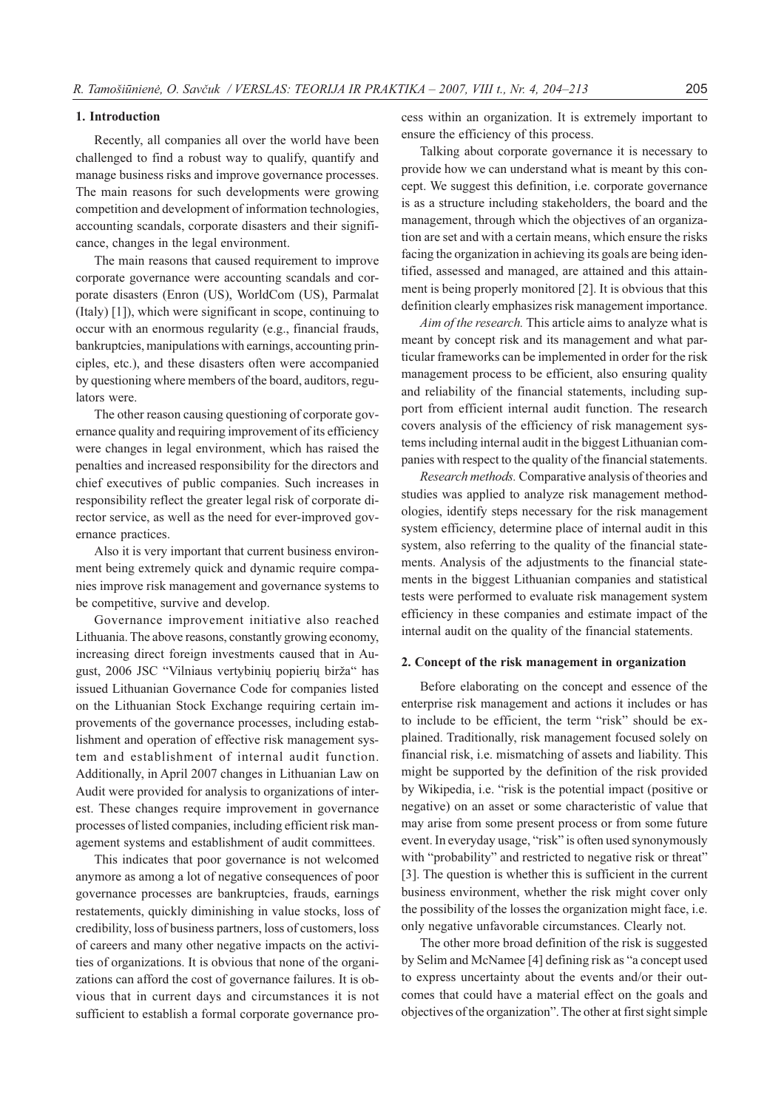### 1. Introduction

Recently, all companies all over the world have been challenged to find a robust way to qualify, quantify and manage business risks and improve governance processes. The main reasons for such developments were growing competition and development of information technologies, accounting scandals, corporate disasters and their significance, changes in the legal environment.

The main reasons that caused requirement to improve corporate governance were accounting scandals and corporate disasters (Enron (US), WorldCom (US), Parmalat (Italy) [1]), which were significant in scope, continuing to occur with an enormous regularity (e.g., financial frauds, bankruptcies, manipulations with earnings, accounting principles, etc.), and these disasters often were accompanied by questioning where members of the board, auditors, regulators were.

The other reason causing questioning of corporate governance quality and requiring improvement of its efficiency were changes in legal environment, which has raised the penalties and increased responsibility for the directors and chief executives of public companies. Such increases in responsibility reflect the greater legal risk of corporate director service, as well as the need for ever-improved governance practices.

Also it is very important that current business environment being extremely quick and dynamic require companies improve risk management and governance systems to be competitive, survive and develop.

Governance improvement initiative also reached Lithuania. The above reasons, constantly growing economy, increasing direct foreign investments caused that in August, 2006 JSC "Vilniaus vertybinių popierių birža" has issued Lithuanian Governance Code for companies listed on the Lithuanian Stock Exchange requiring certain improvements of the governance processes, including establishment and operation of effective risk management system and establishment of internal audit function. Additionally, in April 2007 changes in Lithuanian Law on Audit were provided for analysis to organizations of interest. These changes require improvement in governance processes of listed companies, including efficient risk management systems and establishment of audit committees.

This indicates that poor governance is not welcomed anymore as among a lot of negative consequences of poor governance processes are bankruptcies, frauds, earnings restatements, quickly diminishing in value stocks, loss of credibility, loss of business partners, loss of customers, loss of careers and many other negative impacts on the activities of organizations. It is obvious that none of the organizations can afford the cost of governance failures. It is obvious that in current days and circumstances it is not sufficient to establish a formal corporate governance process within an organization. It is extremely important to ensure the efficiency of this process.

Talking about corporate governance it is necessary to provide how we can understand what is meant by this concept. We suggest this definition, i.e. corporate governance is as a structure including stakeholders, the board and the management, through which the objectives of an organization are set and with a certain means, which ensure the risks facing the organization in achieving its goals are being identified, assessed and managed, are attained and this attainment is being properly monitored [2]. It is obvious that this definition clearly emphasizes risk management importance.

Aim of the research. This article aims to analyze what is meant by concept risk and its management and what particular frameworks can be implemented in order for the risk management process to be efficient, also ensuring quality and reliability of the financial statements, including support from efficient internal audit function. The research covers analysis of the efficiency of risk management systems including internal audit in the biggest Lithuanian companies with respect to the quality of the financial statements.

Research methods. Comparative analysis of theories and studies was applied to analyze risk management methodologies, identify steps necessary for the risk management system efficiency, determine place of internal audit in this system, also referring to the quality of the financial statements. Analysis of the adjustments to the financial statements in the biggest Lithuanian companies and statistical tests were performed to evaluate risk management system efficiency in these companies and estimate impact of the internal audit on the quality of the financial statements.

#### 2. Concept of the risk management in organization

Before elaborating on the concept and essence of the enterprise risk management and actions it includes or has to include to be efficient, the term "risk" should be explained. Traditionally, risk management focused solely on financial risk, i.e. mismatching of assets and liability. This might be supported by the definition of the risk provided by Wikipedia, i.e. "risk is the potential impact (positive or negative) on an asset or some characteristic of value that may arise from some present process or from some future event. In everyday usage, "risk" is often used synonymously with "probability" and restricted to negative risk or threat" [3]. The question is whether this is sufficient in the current business environment, whether the risk might cover only the possibility of the losses the organization might face, i.e. only negative unfavorable circumstances. Clearly not.

The other more broad definition of the risk is suggested by Selim and McNamee [4] defining risk as "a concept used to express uncertainty about the events and/or their outcomes that could have a material effect on the goals and objectives of the organization". The other at first sight simple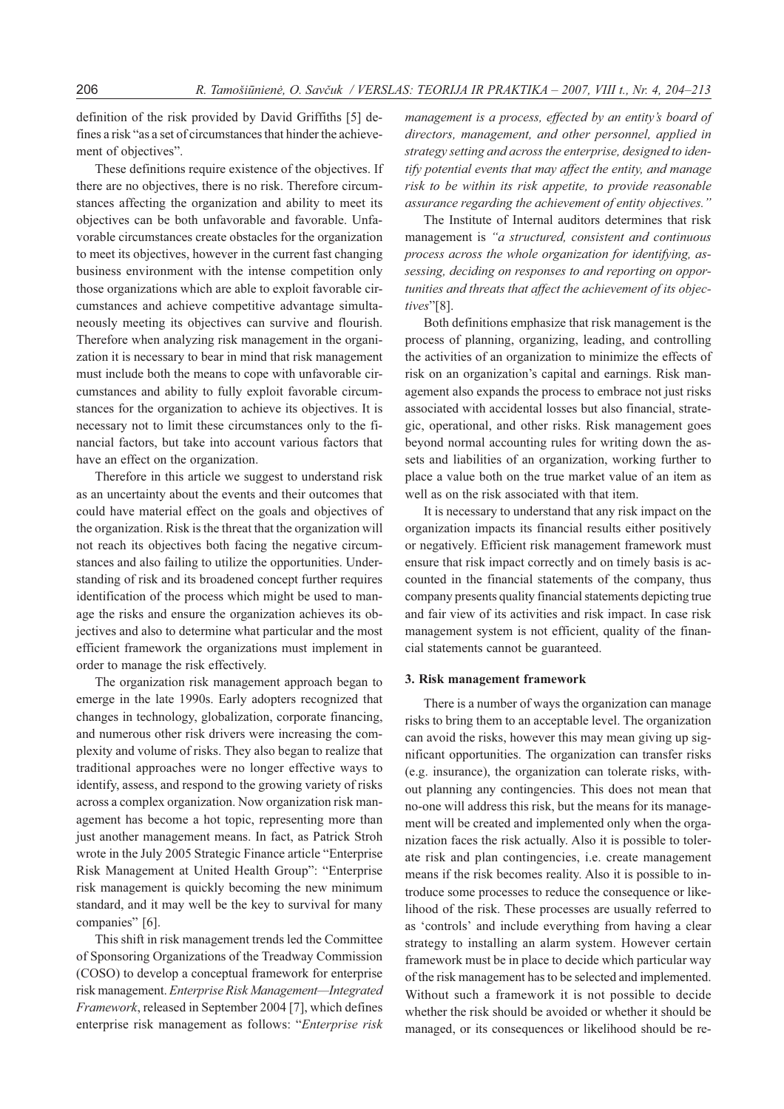definition of the risk provided by David Griffiths [5] defines a risk "as a set of circumstances that hinder the achievement of objectives".

These definitions require existence of the objectives. If there are no objectives, there is no risk. Therefore circumstances affecting the organization and ability to meet its objectives can be both unfavorable and favorable. Unfavorable circumstances create obstacles for the organization to meet its objectives, however in the current fast changing business environment with the intense competition only those organizations which are able to exploit favorable circumstances and achieve competitive advantage simultaneously meeting its objectives can survive and flourish. Therefore when analyzing risk management in the organization it is necessary to bear in mind that risk management must include both the means to cope with unfavorable circumstances and ability to fully exploit favorable circumstances for the organization to achieve its objectives. It is necessary not to limit these circumstances only to the financial factors, but take into account various factors that have an effect on the organization.

Therefore in this article we suggest to understand risk as an uncertainty about the events and their outcomes that could have material effect on the goals and objectives of the organization. Risk is the threat that the organization will not reach its objectives both facing the negative circumstances and also failing to utilize the opportunities. Understanding of risk and its broadened concept further requires identification of the process which might be used to manage the risks and ensure the organization achieves its objectives and also to determine what particular and the most efficient framework the organizations must implement in order to manage the risk effectively.

The organization risk management approach began to emerge in the late 1990s. Early adopters recognized that changes in technology, globalization, corporate financing, and numerous other risk drivers were increasing the complexity and volume of risks. They also began to realize that traditional approaches were no longer effective ways to identify, assess, and respond to the growing variety of risks across a complex organization. Now organization risk management has become a hot topic, representing more than just another management means. In fact, as Patrick Stroh wrote in the July 2005 Strategic Finance article "Enterprise Risk Management at United Health Group": "Enterprise risk management is quickly becoming the new minimum standard, and it may well be the key to survival for many companies" [6].

This shift in risk management trends led the Committee of Sponsoring Organizations of the Treadway Commission (COSO) to develop a conceptual framework for enterprise risk management. Enterprise Risk Management—Integrated Framework, released in September 2004 [7], which defines enterprise risk management as follows: "Enterprise risk

management is a process, effected by an entity's board of directors, management, and other personnel, applied in strategy setting and across the enterprise, designed to identify potential events that may affect the entity, and manage risk to be within its risk appetite, to provide reasonable assurance regarding the achievement of entity objectives."

The Institute of Internal auditors determines that risk management is "a structured, consistent and continuous process across the whole organization for identifying, assessing, deciding on responses to and reporting on opportunities and threats that affect the achievement of its objectives"[8].

Both definitions emphasize that risk management is the process of planning, organizing, leading, and controlling the activities of an organization to minimize the effects of risk on an organization's capital and earnings. Risk management also expands the process to embrace not just risks associated with accidental losses but also financial, strategic, operational, and other risks. Risk management goes beyond normal accounting rules for writing down the assets and liabilities of an organization, working further to place a value both on the true market value of an item as well as on the risk associated with that item.

It is necessary to understand that any risk impact on the organization impacts its financial results either positively or negatively. Efficient risk management framework must ensure that risk impact correctly and on timely basis is accounted in the financial statements of the company, thus company presents quality financial statements depicting true and fair view of its activities and risk impact. In case risk management system is not efficient, quality of the financial statements cannot be guaranteed.

#### 3. Risk management framework

There is a number of ways the organization can manage risks to bring them to an acceptable level. The organization can avoid the risks, however this may mean giving up significant opportunities. The organization can transfer risks (e.g. insurance), the organization can tolerate risks, without planning any contingencies. This does not mean that no-one will address this risk, but the means for its management will be created and implemented only when the organization faces the risk actually. Also it is possible to tolerate risk and plan contingencies, i.e. create management means if the risk becomes reality. Also it is possible to introduce some processes to reduce the consequence or likelihood of the risk. These processes are usually referred to as 'controls' and include everything from having a clear strategy to installing an alarm system. However certain framework must be in place to decide which particular way of the risk management has to be selected and implemented. Without such a framework it is not possible to decide whether the risk should be avoided or whether it should be managed, or its consequences or likelihood should be re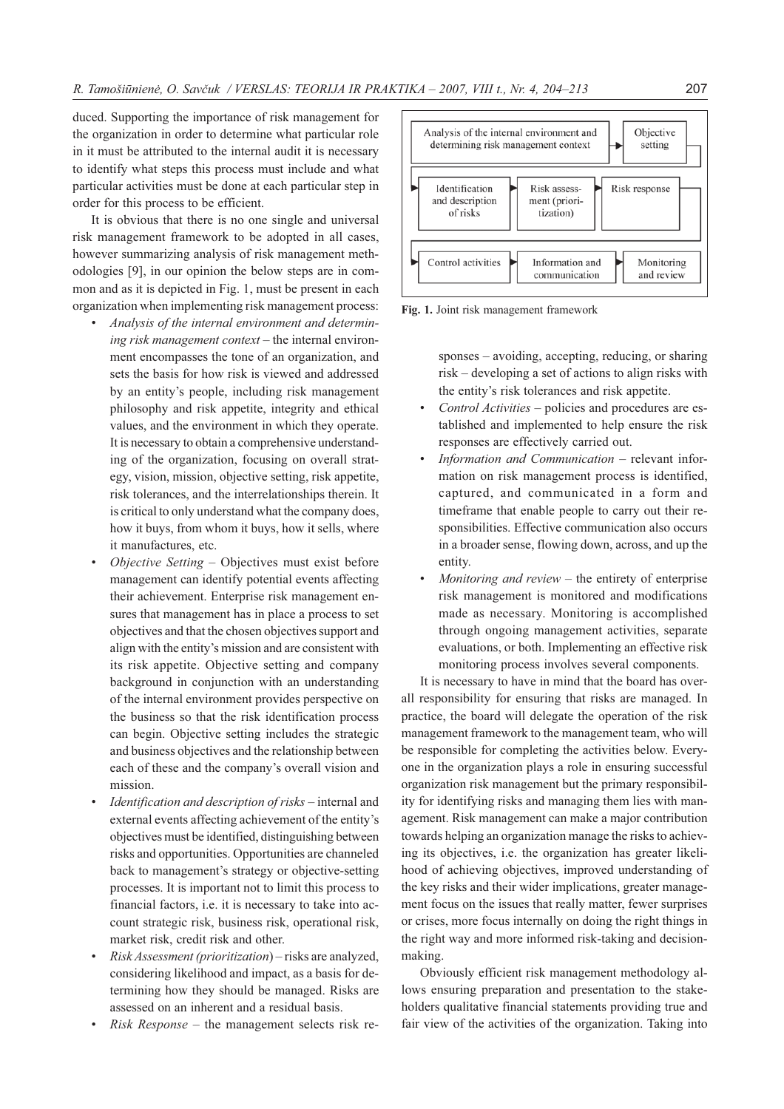duced. Supporting the importance of risk management for the organization in order to determine what particular role in it must be attributed to the internal audit it is necessary to identify what steps this process must include and what particular activities must be done at each particular step in order for this process to be efficient.

It is obvious that there is no one single and universal risk management framework to be adopted in all cases, however summarizing analysis of risk management methodologies [9], in our opinion the below steps are in common and as it is depicted in Fig. 1, must be present in each organization when implementing risk management process:

- Analysis of the internal environment and determining risk management context – the internal environment encompasses the tone of an organization, and sets the basis for how risk is viewed and addressed by an entity's people, including risk management philosophy and risk appetite, integrity and ethical values, and the environment in which they operate. It is necessary to obtain a comprehensive understanding of the organization, focusing on overall strategy, vision, mission, objective setting, risk appetite, risk tolerances, and the interrelationships therein. It is critical to only understand what the company does, how it buys, from whom it buys, how it sells, where it manufactures, etc.
- Objective Setting Objectives must exist before management can identify potential events affecting their achievement. Enterprise risk management ensures that management has in place a process to set objectives and that the chosen objectives support and align with the entity's mission and are consistent with its risk appetite. Objective setting and company background in conjunction with an understanding of the internal environment provides perspective on the business so that the risk identification process can begin. Objective setting includes the strategic and business objectives and the relationship between each of these and the company's overall vision and mission.
- Identification and description of risks internal and external events affecting achievement of the entity's objectives must be identified, distinguishing between risks and opportunities. Opportunities are channeled back to management's strategy or objective-setting processes. It is important not to limit this process to financial factors, i.e. it is necessary to take into account strategic risk, business risk, operational risk, market risk, credit risk and other.
- Risk Assessment (prioritization) risks are analyzed, considering likelihood and impact, as a basis for determining how they should be managed. Risks are assessed on an inherent and a residual basis.
- $Risk$   $Response$  the management selects risk re-



Fig. 1. Joint risk management framework

sponses – avoiding, accepting, reducing, or sharing risk – developing a set of actions to align risks with the entity's risk tolerances and risk appetite.

- Control Activities policies and procedures are established and implemented to help ensure the risk responses are effectively carried out.
- Information and Communication relevant information on risk management process is identified, captured, and communicated in a form and timeframe that enable people to carry out their responsibilities. Effective communication also occurs in a broader sense, flowing down, across, and up the entity.
- Monitoring and review the entirety of enterprise risk management is monitored and modifications made as necessary. Monitoring is accomplished through ongoing management activities, separate evaluations, or both. Implementing an effective risk monitoring process involves several components.

It is necessary to have in mind that the board has overall responsibility for ensuring that risks are managed. In practice, the board will delegate the operation of the risk management framework to the management team, who will be responsible for completing the activities below. Everyone in the organization plays a role in ensuring successful organization risk management but the primary responsibility for identifying risks and managing them lies with management. Risk management can make a major contribution towards helping an organization manage the risks to achieving its objectives, i.e. the organization has greater likelihood of achieving objectives, improved understanding of the key risks and their wider implications, greater management focus on the issues that really matter, fewer surprises or crises, more focus internally on doing the right things in the right way and more informed risk-taking and decisionmaking.

Obviously efficient risk management methodology allows ensuring preparation and presentation to the stakeholders qualitative financial statements providing true and fair view of the activities of the organization. Taking into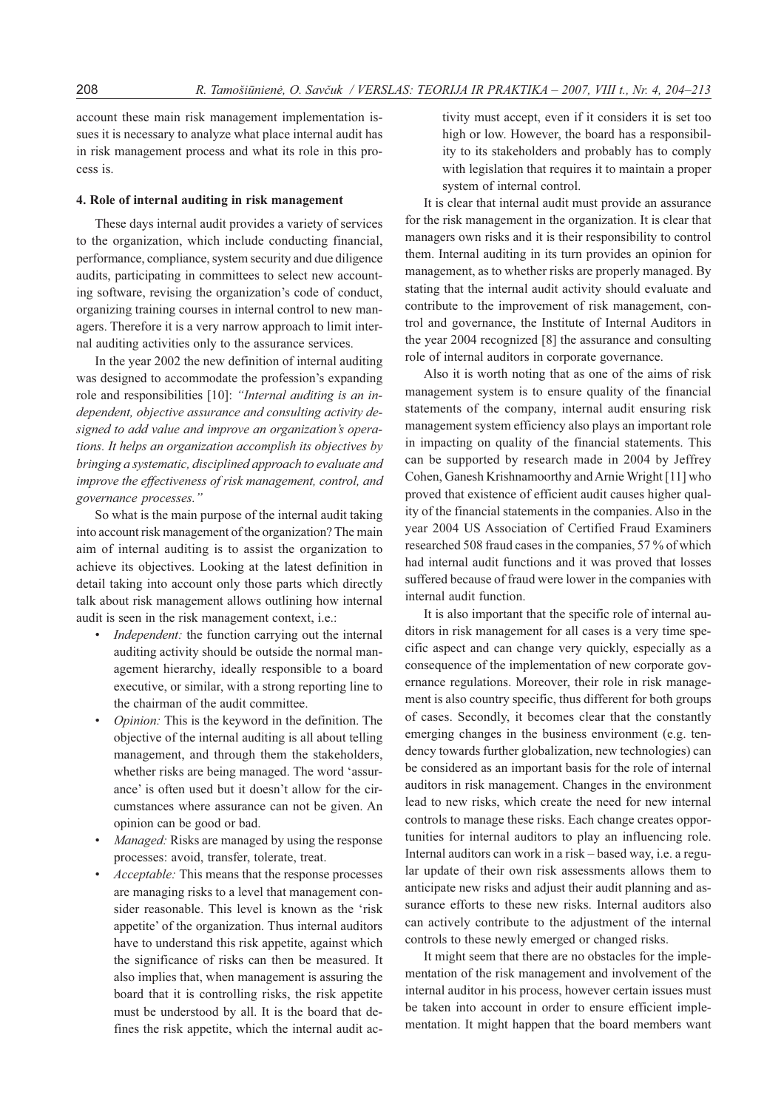account these main risk management implementation issues it is necessary to analyze what place internal audit has in risk management process and what its role in this process is.

#### 4. Role of internal auditing in risk management

These days internal audit provides a variety of services to the organization, which include conducting financial, performance, compliance, system security and due diligence audits, participating in committees to select new accounting software, revising the organization's code of conduct, organizing training courses in internal control to new managers. Therefore it is a very narrow approach to limit internal auditing activities only to the assurance services.

In the year 2002 the new definition of internal auditing was designed to accommodate the profession's expanding role and responsibilities [10]: "Internal auditing is an independent, objective assurance and consulting activity designed to add value and improve an organization's operations. It helps an organization accomplish its objectives by bringing a systematic, disciplined approach to evaluate and improve the effectiveness of risk management, control, and governance processes."

So what is the main purpose of the internal audit taking into account risk management of the organization? The main aim of internal auditing is to assist the organization to achieve its objectives. Looking at the latest definition in detail taking into account only those parts which directly talk about risk management allows outlining how internal audit is seen in the risk management context, i.e.:

- Independent: the function carrying out the internal auditing activity should be outside the normal management hierarchy, ideally responsible to a board executive, or similar, with a strong reporting line to the chairman of the audit committee.
- Opinion: This is the keyword in the definition. The objective of the internal auditing is all about telling management, and through them the stakeholders, whether risks are being managed. The word 'assurance' is often used but it doesn't allow for the circumstances where assurance can not be given. An opinion can be good or bad.
- Managed: Risks are managed by using the response processes: avoid, transfer, tolerate, treat.
- Acceptable: This means that the response processes are managing risks to a level that management consider reasonable. This level is known as the 'risk appetite' of the organization. Thus internal auditors have to understand this risk appetite, against which the significance of risks can then be measured. It also implies that, when management is assuring the board that it is controlling risks, the risk appetite must be understood by all. It is the board that defines the risk appetite, which the internal audit ac-

tivity must accept, even if it considers it is set too high or low. However, the board has a responsibility to its stakeholders and probably has to comply with legislation that requires it to maintain a proper system of internal control.

It is clear that internal audit must provide an assurance for the risk management in the organization. It is clear that managers own risks and it is their responsibility to control them. Internal auditing in its turn provides an opinion for management, as to whether risks are properly managed. By stating that the internal audit activity should evaluate and contribute to the improvement of risk management, control and governance, the Institute of Internal Auditors in the year 2004 recognized [8] the assurance and consulting role of internal auditors in corporate governance.

Also it is worth noting that as one of the aims of risk management system is to ensure quality of the financial statements of the company, internal audit ensuring risk management system efficiency also plays an important role in impacting on quality of the financial statements. This can be supported by research made in 2004 by Jeffrey Cohen, Ganesh Krishnamoorthy and Arnie Wright [11] who proved that existence of efficient audit causes higher quality of the financial statements in the companies. Also in the year 2004 US Association of Certified Fraud Examiners researched 508 fraud cases in the companies, 57 % of which had internal audit functions and it was proved that losses suffered because of fraud were lower in the companies with internal audit function.

It is also important that the specific role of internal auditors in risk management for all cases is a very time specific aspect and can change very quickly, especially as a consequence of the implementation of new corporate governance regulations. Moreover, their role in risk management is also country specific, thus different for both groups of cases. Secondly, it becomes clear that the constantly emerging changes in the business environment (e.g. tendency towards further globalization, new technologies) can be considered as an important basis for the role of internal auditors in risk management. Changes in the environment lead to new risks, which create the need for new internal controls to manage these risks. Each change creates opportunities for internal auditors to play an influencing role. Internal auditors can work in a risk – based way, i.e. a regular update of their own risk assessments allows them to anticipate new risks and adjust their audit planning and assurance efforts to these new risks. Internal auditors also can actively contribute to the adjustment of the internal controls to these newly emerged or changed risks.

It might seem that there are no obstacles for the implementation of the risk management and involvement of the internal auditor in his process, however certain issues must be taken into account in order to ensure efficient implementation. It might happen that the board members want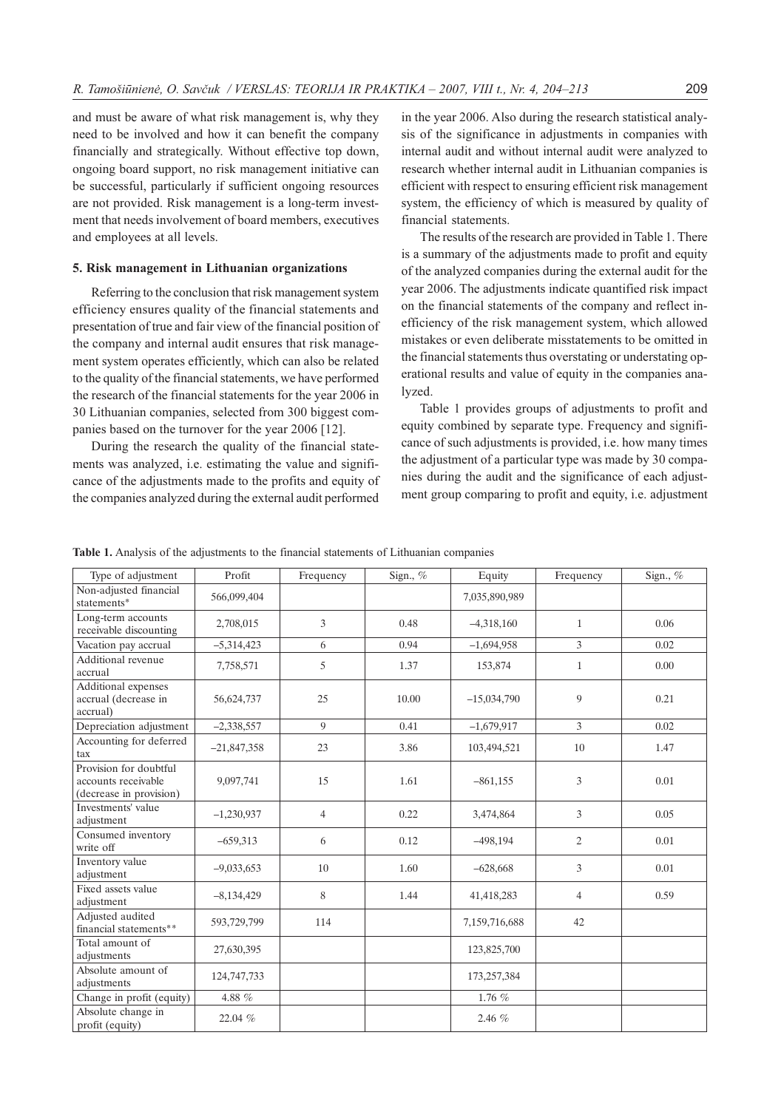and must be aware of what risk management is, why they need to be involved and how it can benefit the company financially and strategically. Without effective top down, ongoing board support, no risk management initiative can be successful, particularly if sufficient ongoing resources are not provided. Risk management is a long-term investment that needs involvement of board members, executives and employees at all levels.

### 5. Risk management in Lithuanian organizations

Referring to the conclusion that risk management system efficiency ensures quality of the financial statements and presentation of true and fair view of the financial position of the company and internal audit ensures that risk management system operates efficiently, which can also be related to the quality of the financial statements, we have performed the research of the financial statements for the year 2006 in 30 Lithuanian companies, selected from 300 biggest companies based on the turnover for the year 2006 [12].

During the research the quality of the financial statements was analyzed, i.e. estimating the value and significance of the adjustments made to the profits and equity of the companies analyzed during the external audit performed

in the year 2006. Also during the research statistical analysis of the significance in adjustments in companies with internal audit and without internal audit were analyzed to research whether internal audit in Lithuanian companies is efficient with respect to ensuring efficient risk management system, the efficiency of which is measured by quality of financial statements.

The results of the research are provided in Table 1. There is a summary of the adjustments made to profit and equity of the analyzed companies during the external audit for the year 2006. The adjustments indicate quantified risk impact on the financial statements of the company and reflect inefficiency of the risk management system, which allowed mistakes or even deliberate misstatements to be omitted in the financial statements thus overstating or understating operational results and value of equity in the companies analyzed.

Table 1 provides groups of adjustments to profit and equity combined by separate type. Frequency and significance of such adjustments is provided, i.e. how many times the adjustment of a particular type was made by 30 companies during the audit and the significance of each adjustment group comparing to profit and equity, i.e. adjustment

|  |  |  |  | <b>Table 1.</b> Analysis of the adjustments to the financial statements of Lithuanian companies |  |
|--|--|--|--|-------------------------------------------------------------------------------------------------|--|
|  |  |  |  |                                                                                                 |  |

| Type of adjustment                                                       | Profit        | Frequency      | Sign., % | Equity        | Frequency      | Sign., $%$ |
|--------------------------------------------------------------------------|---------------|----------------|----------|---------------|----------------|------------|
| Non-adjusted financial<br>statements*                                    | 566,099,404   |                |          | 7,035,890,989 |                |            |
| Long-term accounts<br>receivable discounting                             | 2,708,015     | 3              | 0.48     | $-4,318,160$  | $\mathbf{1}$   | 0.06       |
| Vacation pay accrual                                                     | $-5,314,423$  | 6              | 0.94     | $-1,694,958$  | 3              | 0.02       |
| Additional revenue<br>accrual                                            | 7,758,571     | 5              | 1.37     | 153,874       | $\mathbf{1}$   | 0.00       |
| Additional expenses<br>accrual (decrease in<br>accrual)                  | 56,624,737    | 25             | 10.00    | $-15,034,790$ | 9              | 0.21       |
| Depreciation adjustment                                                  | $-2,338,557$  | 9              | 0.41     | $-1,679,917$  | 3              | 0.02       |
| Accounting for deferred<br>tax                                           | $-21,847,358$ | 23             | 3.86     | 103,494,521   | 10             | 1.47       |
| Provision for doubtful<br>accounts receivable<br>(decrease in provision) | 9,097,741     | 15             | 1.61     | $-861,155$    | 3              | 0.01       |
| Investments' value<br>adjustment                                         | $-1,230,937$  | $\overline{4}$ | 0.22     | 3,474,864     | 3              | 0.05       |
| Consumed inventory<br>write off                                          | $-659.313$    | 6              | 0.12     | $-498.194$    | 2              | 0.01       |
| Inventory value<br>adjustment                                            | $-9,033,653$  | 10             | 1.60     | $-628,668$    | 3              | 0.01       |
| Fixed assets value<br>adjustment                                         | $-8,134,429$  | 8              | 1.44     | 41,418,283    | $\overline{4}$ | 0.59       |
| Adjusted audited<br>financial statements**                               | 593,729,799   | 114            |          | 7,159,716,688 | 42             |            |
| Total amount of<br>adjustments                                           | 27,630,395    |                |          | 123,825,700   |                |            |
| Absolute amount of<br>adjustments                                        | 124,747,733   |                |          | 173,257,384   |                |            |
| Change in profit (equity)                                                | 4.88 $%$      |                |          | 1.76 $%$      |                |            |
| Absolute change in<br>profit (equity)                                    | 22.04 %       |                |          | 2.46 $%$      |                |            |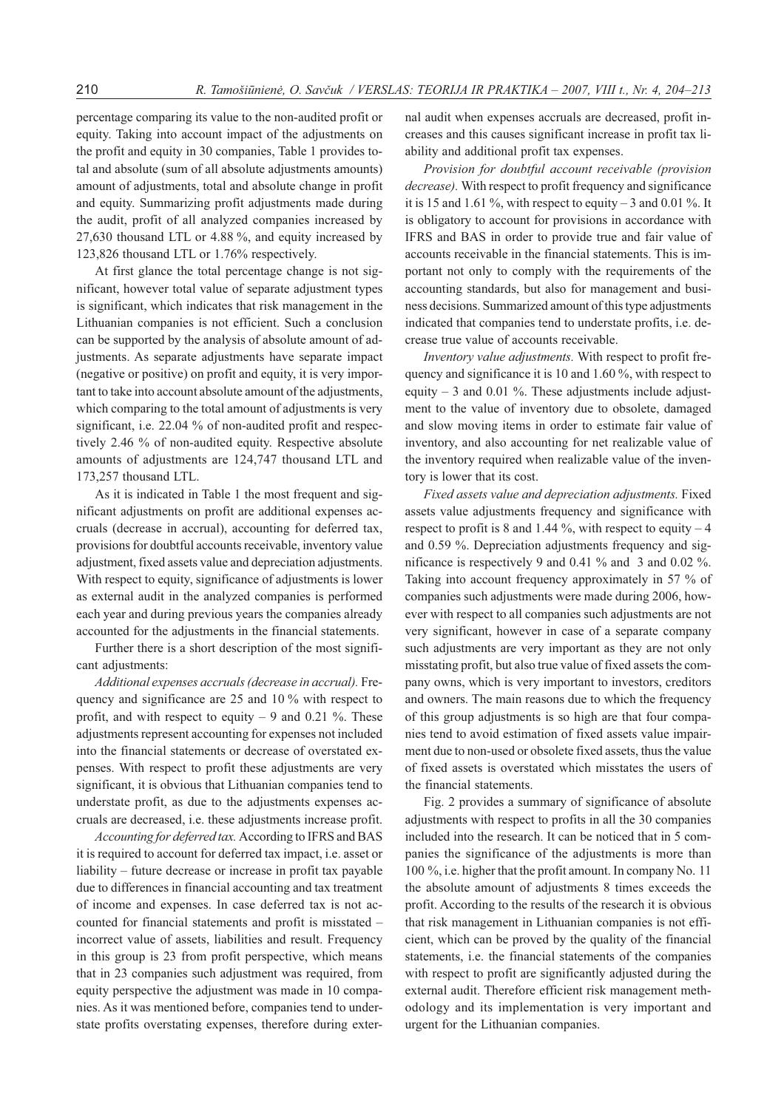percentage comparing its value to the non-audited profit or equity. Taking into account impact of the adjustments on the profit and equity in 30 companies, Table 1 provides total and absolute (sum of all absolute adjustments amounts) amount of adjustments, total and absolute change in profit and equity. Summarizing profit adjustments made during the audit, profit of all analyzed companies increased by 27,630 thousand LTL or 4.88 %, and equity increased by 123,826 thousand LTL or 1.76% respectively.

At first glance the total percentage change is not significant, however total value of separate adjustment types is significant, which indicates that risk management in the Lithuanian companies is not efficient. Such a conclusion can be supported by the analysis of absolute amount of adjustments. As separate adjustments have separate impact (negative or positive) on profit and equity, it is very important to take into account absolute amount of the adjustments, which comparing to the total amount of adjustments is very significant, i.e. 22.04 % of non-audited profit and respectively 2.46 % of non-audited equity. Respective absolute amounts of adjustments are 124,747 thousand LTL and 173,257 thousand LTL.

As it is indicated in Table 1 the most frequent and significant adjustments on profit are additional expenses accruals (decrease in accrual), accounting for deferred tax, provisions for doubtful accounts receivable, inventory value adjustment, fixed assets value and depreciation adjustments. With respect to equity, significance of adjustments is lower as external audit in the analyzed companies is performed each year and during previous years the companies already accounted for the adjustments in the financial statements.

Further there is a short description of the most significant adjustments:

Additional expenses accruals (decrease in accrual). Frequency and significance are 25 and 10 % with respect to profit, and with respect to equity  $-9$  and 0.21 %. These adjustments represent accounting for expenses not included into the financial statements or decrease of overstated expenses. With respect to profit these adjustments are very significant, it is obvious that Lithuanian companies tend to understate profit, as due to the adjustments expenses accruals are decreased, i.e. these adjustments increase profit.

Accounting for deferred tax. According to IFRS and BAS it is required to account for deferred tax impact, i.e. asset or liability – future decrease or increase in profit tax payable due to differences in financial accounting and tax treatment of income and expenses. In case deferred tax is not accounted for financial statements and profit is misstated – incorrect value of assets, liabilities and result. Frequency in this group is 23 from profit perspective, which means that in 23 companies such adjustment was required, from equity perspective the adjustment was made in 10 companies. As it was mentioned before, companies tend to understate profits overstating expenses, therefore during external audit when expenses accruals are decreased, profit increases and this causes significant increase in profit tax liability and additional profit tax expenses.

Provision for doubtful account receivable (provision decrease). With respect to profit frequency and significance it is 15 and 1.61 %, with respect to equity – 3 and 0.01 %. It is obligatory to account for provisions in accordance with IFRS and BAS in order to provide true and fair value of accounts receivable in the financial statements. This is important not only to comply with the requirements of the accounting standards, but also for management and business decisions. Summarized amount of this type adjustments indicated that companies tend to understate profits, i.e. decrease true value of accounts receivable.

Inventory value adjustments. With respect to profit frequency and significance it is 10 and 1.60 %, with respect to equity  $-3$  and 0.01 %. These adjustments include adjustment to the value of inventory due to obsolete, damaged and slow moving items in order to estimate fair value of inventory, and also accounting for net realizable value of the inventory required when realizable value of the inventory is lower that its cost.

Fixed assets value and depreciation adjustments. Fixed assets value adjustments frequency and significance with respect to profit is 8 and 1.44 %, with respect to equity  $-4$ and 0.59 %. Depreciation adjustments frequency and significance is respectively 9 and 0.41 % and 3 and 0.02 %. Taking into account frequency approximately in 57 % of companies such adjustments were made during 2006, however with respect to all companies such adjustments are not very significant, however in case of a separate company such adjustments are very important as they are not only misstating profit, but also true value of fixed assets the company owns, which is very important to investors, creditors and owners. The main reasons due to which the frequency of this group adjustments is so high are that four companies tend to avoid estimation of fixed assets value impairment due to non-used or obsolete fixed assets, thus the value of fixed assets is overstated which misstates the users of the financial statements.

Fig. 2 provides a summary of significance of absolute adjustments with respect to profits in all the 30 companies included into the research. It can be noticed that in 5 companies the significance of the adjustments is more than 100 %, i.e. higher that the profit amount. In company No. 11 the absolute amount of adjustments 8 times exceeds the profit. According to the results of the research it is obvious that risk management in Lithuanian companies is not efficient, which can be proved by the quality of the financial statements, i.e. the financial statements of the companies with respect to profit are significantly adjusted during the external audit. Therefore efficient risk management methodology and its implementation is very important and urgent for the Lithuanian companies.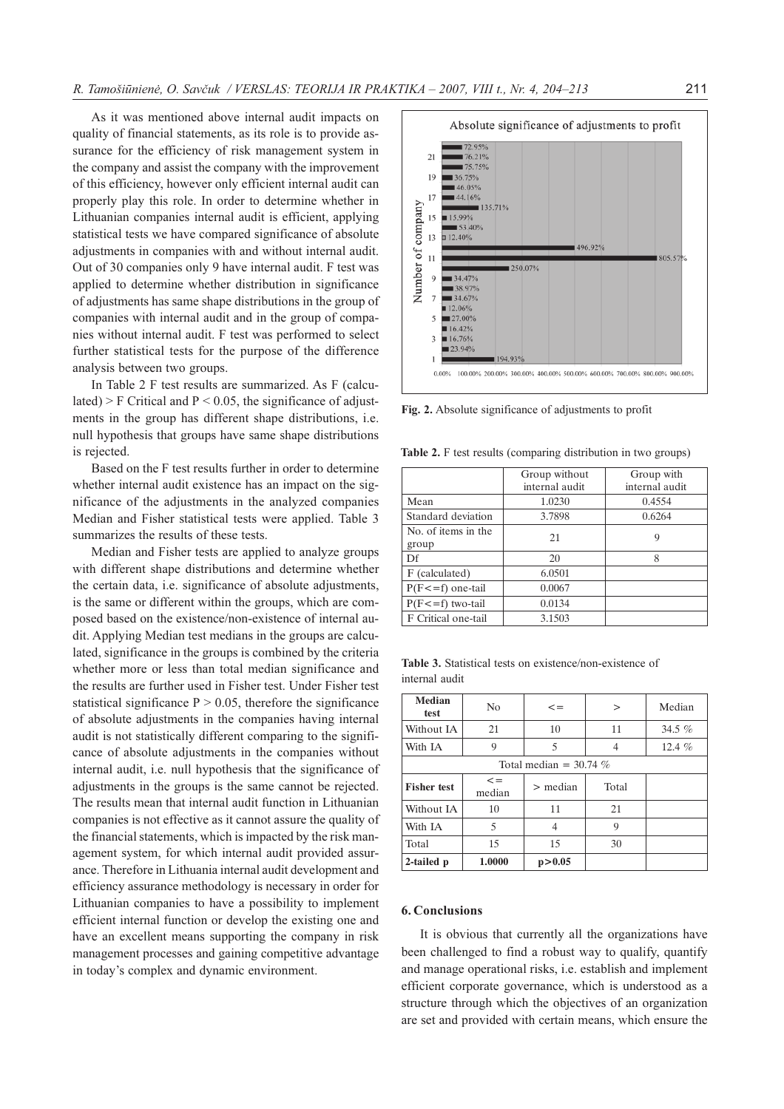As it was mentioned above internal audit impacts on quality of financial statements, as its role is to provide assurance for the efficiency of risk management system in the company and assist the company with the improvement of this efficiency, however only efficient internal audit can properly play this role. In order to determine whether in Lithuanian companies internal audit is efficient, applying statistical tests we have compared significance of absolute adjustments in companies with and without internal audit. Out of 30 companies only 9 have internal audit. F test was applied to determine whether distribution in significance of adjustments has same shape distributions in the group of companies with internal audit and in the group of companies without internal audit. F test was performed to select further statistical tests for the purpose of the difference analysis between two groups.

In Table 2 F test results are summarized. As F (calculated) > F Critical and  $P < 0.05$ , the significance of adjustments in the group has different shape distributions, i.e. null hypothesis that groups have same shape distributions is rejected.

Based on the F test results further in order to determine whether internal audit existence has an impact on the significance of the adjustments in the analyzed companies Median and Fisher statistical tests were applied. Table 3 summarizes the results of these tests.

Median and Fisher tests are applied to analyze groups with different shape distributions and determine whether the certain data, i.e. significance of absolute adjustments, is the same or different within the groups, which are composed based on the existence/non-existence of internal audit. Applying Median test medians in the groups are calculated, significance in the groups is combined by the criteria whether more or less than total median significance and the results are further used in Fisher test. Under Fisher test statistical significance  $P > 0.05$ , therefore the significance of absolute adjustments in the companies having internal audit is not statistically different comparing to the significance of absolute adjustments in the companies without internal audit, i.e. null hypothesis that the significance of adjustments in the groups is the same cannot be rejected. The results mean that internal audit function in Lithuanian companies is not effective as it cannot assure the quality of the financial statements, which is impacted by the risk management system, for which internal audit provided assurance. Therefore in Lithuania internal audit development and efficiency assurance methodology is necessary in order for Lithuanian companies to have a possibility to implement efficient internal function or develop the existing one and have an excellent means supporting the company in risk management processes and gaining competitive advantage in today's complex and dynamic environment.



Fig. 2. Absolute significance of adjustments to profit

Table 2. F test results (comparing distribution in two groups)

|                              | Group without<br>internal audit | Group with<br>internal audit |
|------------------------------|---------------------------------|------------------------------|
| Mean                         | 1.0230                          | 0.4554                       |
| Standard deviation           | 3.7898                          | 0.6264                       |
| No. of items in the<br>group | 21                              | 9                            |
| Df                           | 20                              | 8                            |
| F (calculated)               | 6.0501                          |                              |
| $P(F \le f)$ one-tail        | 0.0067                          |                              |
| $P(F \le f)$ two-tail        | 0.0134                          |                              |
| F Critical one-tail          | 3.1503                          |                              |

Table 3. Statistical tests on existence/non-existence of internal audit

| Median<br>test           | N <sub>0</sub>    | $\lt =$<br>$\geq$ |       | Median   |  |  |  |  |
|--------------------------|-------------------|-------------------|-------|----------|--|--|--|--|
| Without IA               | 21<br>10          |                   | 11    | 34.5 $%$ |  |  |  |  |
| With IA                  | 9                 | 5                 | 4     | 12.4 $%$ |  |  |  |  |
| Total median = $30.74\%$ |                   |                   |       |          |  |  |  |  |
| <b>Fisher test</b>       | $\lt =$<br>median | $>$ median        | Total |          |  |  |  |  |
| Without IA               | 10                | 11                | 21    |          |  |  |  |  |
| With IA                  | 5                 | 4                 | 9     |          |  |  |  |  |
| Total                    | 15                | 15                | 30    |          |  |  |  |  |
| 2-tailed p               | 1.0000            | p > 0.05          |       |          |  |  |  |  |

### 6. Conclusions

It is obvious that currently all the organizations have been challenged to find a robust way to qualify, quantify and manage operational risks, i.e. establish and implement efficient corporate governance, which is understood as a structure through which the objectives of an organization are set and provided with certain means, which ensure the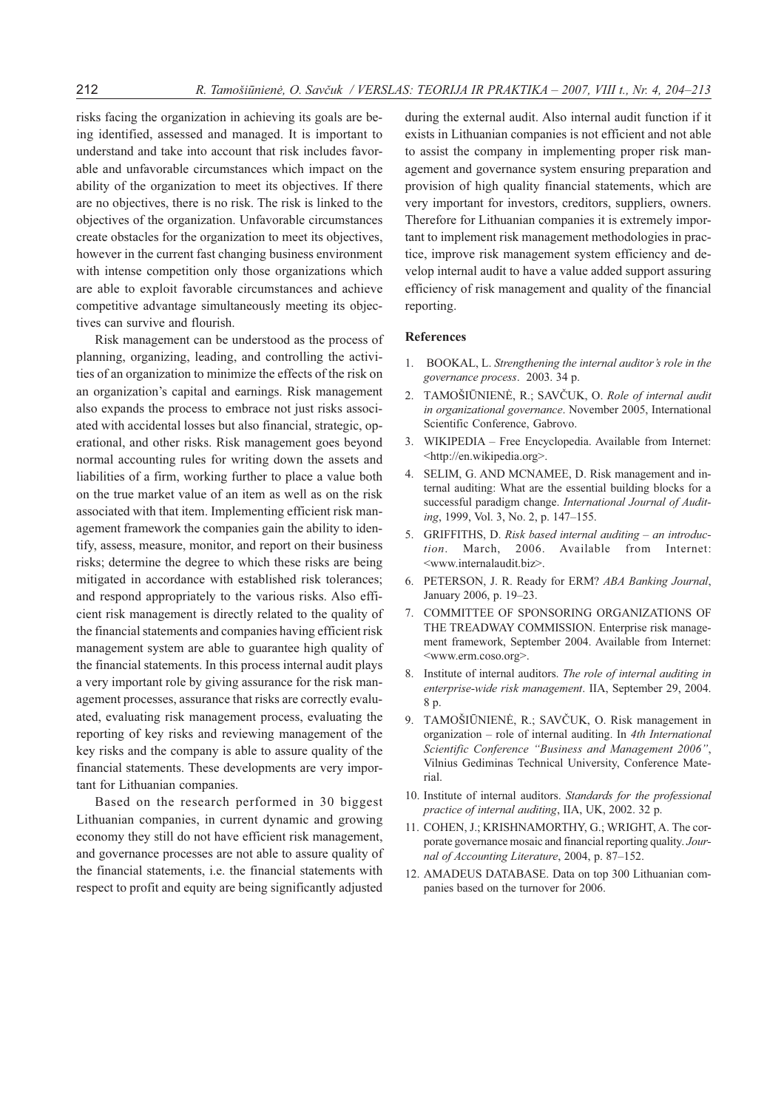risks facing the organization in achieving its goals are being identified, assessed and managed. It is important to understand and take into account that risk includes favorable and unfavorable circumstances which impact on the ability of the organization to meet its objectives. If there are no objectives, there is no risk. The risk is linked to the objectives of the organization. Unfavorable circumstances create obstacles for the organization to meet its objectives, however in the current fast changing business environment with intense competition only those organizations which are able to exploit favorable circumstances and achieve competitive advantage simultaneously meeting its objectives can survive and flourish.

Risk management can be understood as the process of planning, organizing, leading, and controlling the activities of an organization to minimize the effects of the risk on an organization's capital and earnings. Risk management also expands the process to embrace not just risks associated with accidental losses but also financial, strategic, operational, and other risks. Risk management goes beyond normal accounting rules for writing down the assets and liabilities of a firm, working further to place a value both on the true market value of an item as well as on the risk associated with that item. Implementing efficient risk management framework the companies gain the ability to identify, assess, measure, monitor, and report on their business risks; determine the degree to which these risks are being mitigated in accordance with established risk tolerances; and respond appropriately to the various risks. Also efficient risk management is directly related to the quality of the financial statements and companies having efficient risk management system are able to guarantee high quality of the financial statements. In this process internal audit plays a very important role by giving assurance for the risk management processes, assurance that risks are correctly evaluated, evaluating risk management process, evaluating the reporting of key risks and reviewing management of the key risks and the company is able to assure quality of the financial statements. These developments are very important for Lithuanian companies.

Based on the research performed in 30 biggest Lithuanian companies, in current dynamic and growing economy they still do not have efficient risk management, and governance processes are not able to assure quality of the financial statements, i.e. the financial statements with respect to profit and equity are being significantly adjusted during the external audit. Also internal audit function if it exists in Lithuanian companies is not efficient and not able to assist the company in implementing proper risk management and governance system ensuring preparation and provision of high quality financial statements, which are very important for investors, creditors, suppliers, owners. Therefore for Lithuanian companies it is extremely important to implement risk management methodologies in practice, improve risk management system efficiency and develop internal audit to have a value added support assuring efficiency of risk management and quality of the financial reporting.

## References

- 1. BOOKAL, L. Strengthening the internal auditor's role in the governance process. 2003. 34 p.
- 2. TAMOŠIŪNIENĖ, R.; SAVČUK, O. Role of internal audit in organizational governance. November 2005, International Scientific Conference, Gabrovo.
- 3. WIKIPEDIA Free Encyclopedia. Available from Internet: <http://en.wikipedia.org>.
- 4. SELIM, G. AND MCNAMEE, D. Risk management and internal auditing: What are the essential building blocks for a successful paradigm change. International Journal of Auditing, 1999, Vol. 3, No. 2, p. 147–155.
- 5. GRIFFITHS, D. Risk based internal auditing an introduction. March, 2006. Available from Internet: <www.internalaudit.biz>.
- 6. PETERSON, J. R. Ready for ERM? ABA Banking Journal, January 2006, p. 19–23.
- 7. COMMITTEE OF SPONSORING ORGANIZATIONS OF THE TREADWAY COMMISSION. Enterprise risk management framework, September 2004. Available from Internet: <www.erm.coso.org>.
- 8. Institute of internal auditors. The role of internal auditing in enterprise-wide risk management. IIA, September 29, 2004. 8 p.
- 9. TAMOŠIŪNIENĖ, R.; SAVČUK, O. Risk management in organization – role of internal auditing. In 4th International Scientific Conference "Business and Management 2006", Vilnius Gediminas Technical University, Conference Material.
- 10. Institute of internal auditors. Standards for the professional practice of internal auditing, IIA, UK, 2002. 32 p.
- 11. COHEN, J.; KRISHNAMORTHY, G.; WRIGHT, A. The corporate governance mosaic and financial reporting quality. Journal of Accounting Literature, 2004, p. 87–152.
- 12. AMADEUS DATABASE. Data on top 300 Lithuanian companies based on the turnover for 2006.